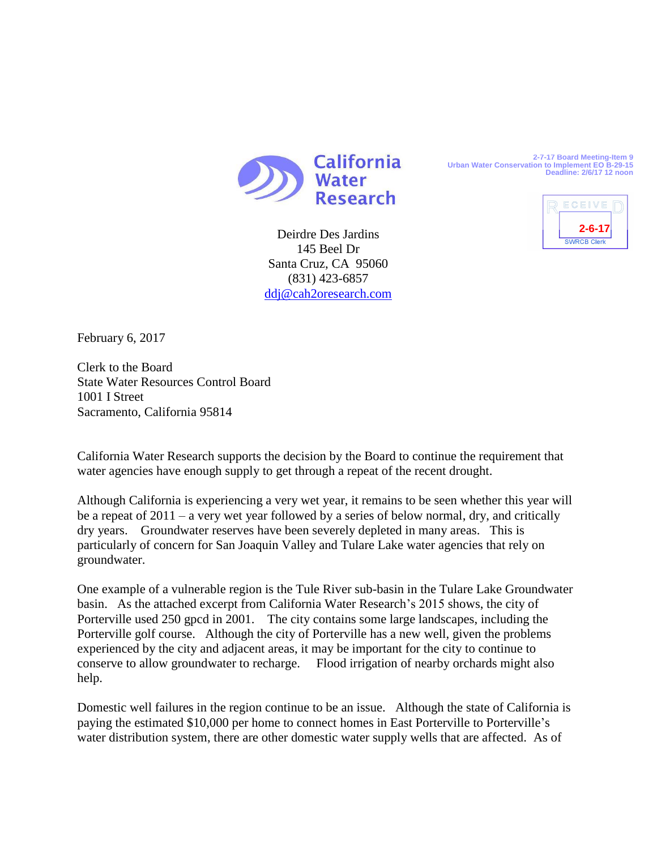

Deirdre Des Jardins 145 Beel Dr Santa Cruz, CA 95060 (831) 423-6857 [ddj@cah2oresearch.com](mailto:ddj@cah2oresearch.com) **2-7-17 Board Meeting-Item 9 Urban Water Conservation to Implement EO B-29-15 Deadline: 2/6/17 12 noon**



February 6, 2017

Clerk to the Board State Water Resources Control Board 1001 I Street Sacramento, California 95814

California Water Research supports the decision by the Board to continue the requirement that water agencies have enough supply to get through a repeat of the recent drought.

Although California is experiencing a very wet year, it remains to be seen whether this year will be a repeat of 2011 – a very wet year followed by a series of below normal, dry, and critically dry years. Groundwater reserves have been severely depleted in many areas. This is particularly of concern for San Joaquin Valley and Tulare Lake water agencies that rely on groundwater.

One example of a vulnerable region is the Tule River sub-basin in the Tulare Lake Groundwater basin. As the attached excerpt from California Water Research's 2015 shows, the city of Porterville used 250 gpcd in 2001. The city contains some large landscapes, including the Porterville golf course. Although the city of Porterville has a new well, given the problems experienced by the city and adjacent areas, it may be important for the city to continue to conserve to allow groundwater to recharge. Flood irrigation of nearby orchards might also help.

Domestic well failures in the region continue to be an issue. Although the state of California is paying the estimated \$10,000 per home to connect homes in East Porterville to Porterville's water distribution system, there are other domestic water supply wells that are affected. As of